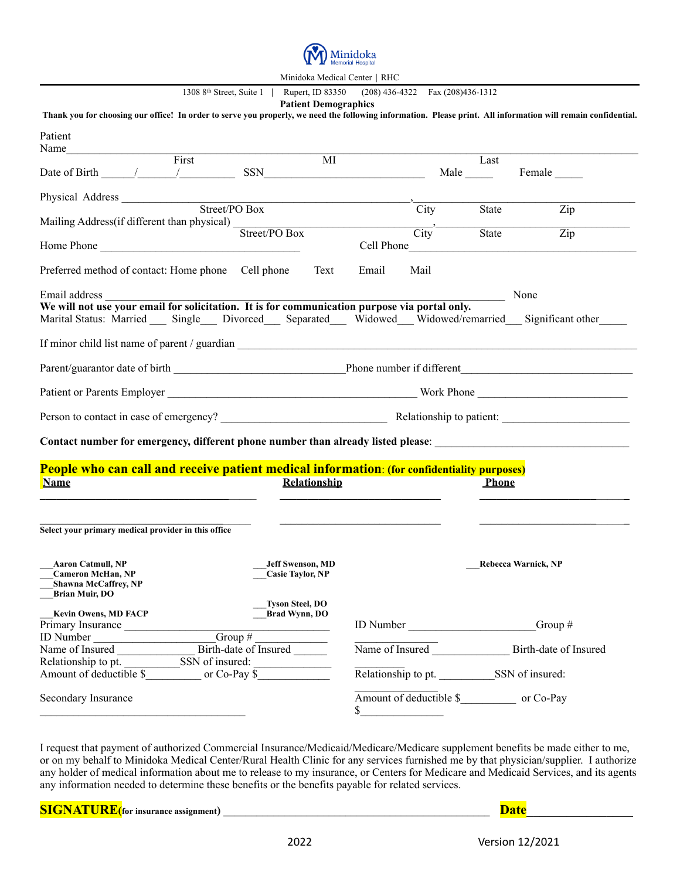

Minidoka Medical Center │ RHC 1308 8th Street, Suite 1 │ Rupert, ID 83350 (208) 436-4322 Fax (208)436-1312 **Patient Demographics Thank you for choosing our office! In order to serve you properly, we need the following information. Please print. All information will remain confidential.** Patient Name First MI Last Date of Birth \_\_\_\_\_\_/\_\_\_\_\_\_\_/\_\_\_\_\_\_\_\_\_\_ SSN\_\_\_\_\_\_\_\_\_\_\_\_\_\_\_\_\_\_\_\_\_\_\_\_\_\_\_\_\_ Male \_\_\_\_\_ Female \_\_\_\_\_ Physical Address Street/PO Box City State Zip Mailing Address(if different than physical) \_\_\_\_\_\_\_\_\_\_\_\_\_\_\_\_\_\_\_\_\_\_\_\_\_\_\_\_\_\_\_\_\_\_\_\_,\_\_\_\_\_\_\_\_\_\_\_\_\_\_\_\_\_\_\_\_\_\_\_\_\_\_\_\_\_\_\_\_\_\_\_ Street/PO Box City State Zip Home Phone **From Example 2** and the set of the set of the set of the set of the set of the set of the set of the set of the set of the set of the set of the set of the set of the set of the set of the set of the set of the Preferred method of contact: Home phone Cell phone Text Email Mail Email address **Email** address **and the set of the set of the set of the set of the set of the set of the set of the set of the set of the set of the set of the set of the set of the set of the set of the set of the set of** We will not use your email for solicitation. It is for communication purpose via portal only. Marital Status: Married \_\_\_ Single \_\_\_ Divorced \_\_\_ Separated \_\_\_ Widowed Widowed/remarried \_\_\_ Significant other If minor child list name of parent / guardian Parent/guarantor date of birth \_\_\_\_\_\_\_\_\_\_\_\_\_\_\_\_\_\_\_\_\_\_\_\_\_\_\_\_\_\_\_Phone number if different\_\_\_\_\_\_\_\_\_\_\_\_\_\_\_\_\_\_\_\_\_\_\_\_\_\_\_\_\_\_\_ Patient or Parents Employer \_\_\_\_\_\_\_\_\_\_\_\_\_\_\_\_\_\_\_\_\_\_\_\_\_\_\_\_\_\_\_\_\_\_\_\_\_\_\_\_\_\_\_\_\_ Work Phone \_\_\_\_\_\_\_\_\_\_\_\_\_\_\_\_\_\_\_\_\_\_\_\_\_\_\_ Person to contact in case of emergency? <br>Relationship to patient: **Contact number for emergency, different phone number than already listed please**: \_\_\_\_\_\_\_\_\_\_\_\_\_\_\_\_\_\_\_\_\_\_\_\_\_\_\_\_\_\_\_\_\_\_\_ **People who can call and receive patient medical information**: **(for confidentiality purposes) Name Relationship Relationship Phone \_\_\_\_\_\_\_\_\_\_\_\_\_\_\_\_\_\_\_\_\_\_\_\_\_\_\_\_\_\_\_\_\_\_**\_\_\_\_\_ **\_\_\_\_\_\_\_\_\_\_\_\_\_\_\_\_\_\_\_\_\_\_\_\_\_\_\_\_\_ \_\_\_\_\_\_\_\_\_\_\_\_\_\_\_\_\_\_\_\_\_**\_\_\_\_\_**\_ Select your primary medical provider in this office \_\_\_Aaron Catmull, NP \_\_\_Cameron McHan, NP \_\_\_Shawna McCaffrey, NP \_\_\_Brian Muir, DO \_\_\_Kevin Owens, MD FACP \_\_\_Jeff Swenson, MD \_\_\_Casie Taylor, NP \_\_\_Tyson Steel, DO \_\_\_Brad Wynn, DO \_\_\_Rebecca Warnick, NP** Primary Insurance ID Number  $\qquad \qquad \text{Group}\;#$ Name of Insured Birth-date of Insured Relationship to pt. \_\_\_\_\_\_\_\_\_\_SSN of insured: \_\_\_\_\_\_\_\_\_\_\_\_\_\_ Amount of deductible \$ or Co-Pay \$ Secondary Insurance ID Number \_\_\_\_\_\_\_\_\_\_\_\_\_\_\_\_\_\_\_\_\_\_\_Group # Name of Insured Birth-date of Insured  $\frac{1}{2}$ Relationship to pt. SSN of insured: Amount of deductible \$\_\_\_\_\_\_\_\_\_\_ or Co-Pay  $\mathbb{S}$ 

I request that payment of authorized Commercial Insurance/Medicaid/Medicare/Medicare supplement benefits be made either to me, or on my behalf to Minidoka Medical Center/Rural Health Clinic for any services furnished me by that physician/supplier. I authorize any holder of medical information about me to release to my insurance, or Centers for Medicare and Medicaid Services, and its agents any information needed to determine these benefits or the benefits payable for related services.

| <b>SIGNATURE</b> (for insurance assignment) |  |
|---------------------------------------------|--|
|---------------------------------------------|--|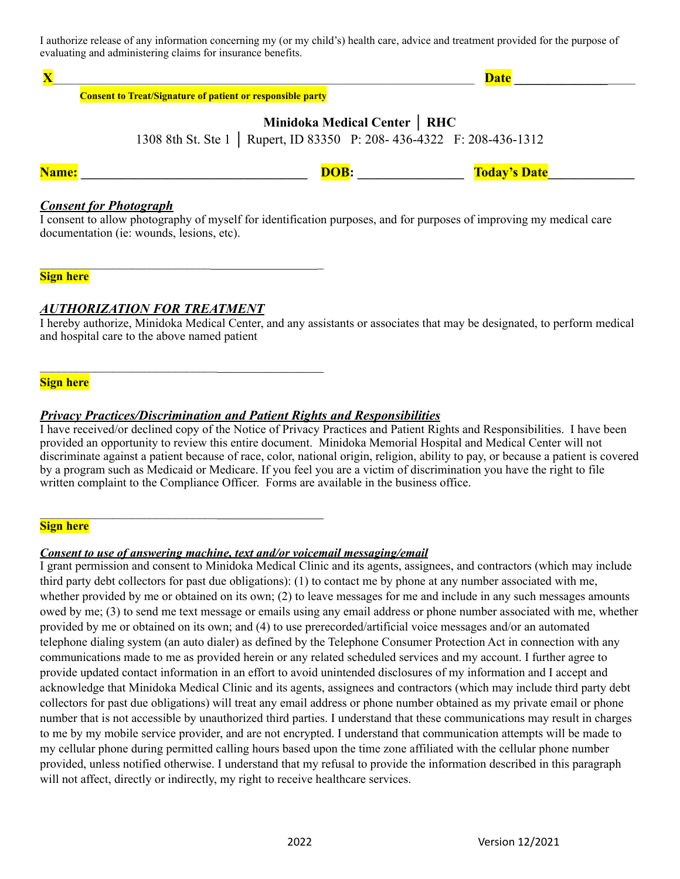I authorize release of any information concerning my (or my child's) health care, advice and treatment provided for the purpose of evaluating and administering claims for insurance benefits.

 $\bf{X}$  and  $\bf{X}$  and  $\bf{X}$  are  $\bf{X}$  and  $\bf{X}$  are  $\bf{X}$  and  $\bf{X}$  are  $\bf{X}$  and  $\bf{X}$  are  $\bf{X}$  **Consent to Treat/Signature of patient or responsible party** 

# **Minidoka Medical Center │ RHC**

1308 8th St. Ste 1 │ Rupert, ID 83350 P: 208- 436-4322 F: 208-436-1312

**Name: Name: Name: Name: Name: Name: Name: Name: Name: Name: Name: Name: Name: Name: Name: Name: Name: Name: Name: Name: Name: Name: Name: Name: Name: Name: Name: Name:** 

# *Consent for Photograph*

I consent to allow photography of myself for identification purposes, and for purposes of improving my medical care documentation (ie: wounds, lesions, etc).

# **Sign here**

# *AUTHORIZATION FOR TREATMENT*

 $\mathcal{L}_\text{max}$  and  $\mathcal{L}_\text{max}$  and  $\mathcal{L}_\text{max}$  and  $\mathcal{L}_\text{max}$ 

 $\mathcal{L}_\text{max}$  and  $\mathcal{L}_\text{max}$  and  $\mathcal{L}_\text{max}$  and  $\mathcal{L}_\text{max}$ 

 $\mathcal{L}_\text{max}$  and  $\mathcal{L}_\text{max}$  and  $\mathcal{L}_\text{max}$  and  $\mathcal{L}_\text{max}$ 

I hereby authorize, Minidoka Medical Center, and any assistants or associates that may be designated, to perform medical and hospital care to the above named patient

**Sign here**

# *Privacy Practices/Discrimination and Patient Rights and Responsibilities*

I have received/or declined copy of the Notice of Privacy Practices and Patient Rights and Responsibilities. I have been provided an opportunity to review this entire document. Minidoka Memorial Hospital and Medical Center will not discriminate against a patient because of race, color, national origin, religion, ability to pay, or because a patient is covered by a program such as Medicaid or Medicare. If you feel you are a victim of discrimination you have the right to file written complaint to the Compliance Officer. Forms are available in the business office.

# **Sign here**

# *Consent to use of answering machine, text and/or voicemail messaging/email*

I grant permission and consent to Minidoka Medical Clinic and its agents, assignees, and contractors (which may include third party debt collectors for past due obligations): (1) to contact me by phone at any number associated with me, whether provided by me or obtained on its own; (2) to leave messages for me and include in any such messages amounts owed by me; (3) to send me text message or emails using any email address or phone number associated with me, whether provided by me or obtained on its own; and (4) to use prerecorded/artificial voice messages and/or an automated telephone dialing system (an auto dialer) as defined by the Telephone Consumer Protection Act in connection with any communications made to me as provided herein or any related scheduled services and my account. I further agree to provide updated contact information in an effort to avoid unintended disclosures of my information and I accept and acknowledge that Minidoka Medical Clinic and its agents, assignees and contractors (which may include third party debt collectors for past due obligations) will treat any email address or phone number obtained as my private email or phone number that is not accessible by unauthorized third parties. I understand that these communications may result in charges to me by my mobile service provider, and are not encrypted. I understand that communication attempts will be made to my cellular phone during permitted calling hours based upon the time zone affiliated with the cellular phone number provided, unless notified otherwise. I understand that my refusal to provide the information described in this paragraph will not affect, directly or indirectly, my right to receive healthcare services.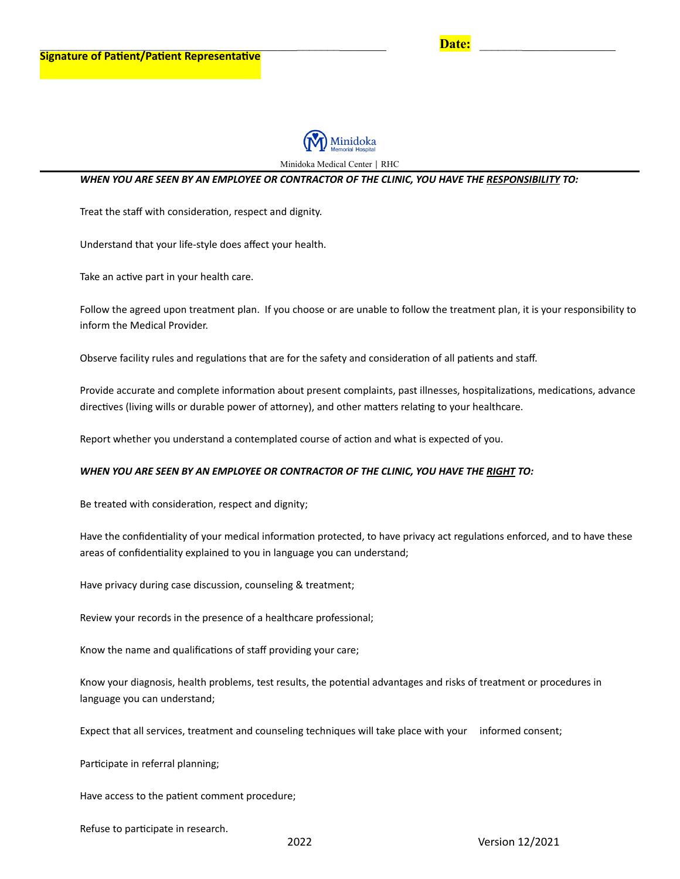

Minidoka Medical Center │ RHC

## *WHEN YOU ARE SEEN BY AN EMPLOYEE OR CONTRACTOR OF THE CLINIC, YOU HAVE THE RESPONSIBILITY TO:*

Treat the staff with consideration, respect and dignity.

Understand that your life-style does affect your health.

Take an active part in your health care.

Follow the agreed upon treatment plan. If you choose or are unable to follow the treatment plan, it is your responsibility to inform the Medical Provider.

Observe facility rules and regulations that are for the safety and consideration of all patients and staff.

Provide accurate and complete information about present complaints, past illnesses, hospitalizations, medications, advance directives (living wills or durable power of attorney), and other matters relating to your healthcare.

Report whether you understand a contemplated course of action and what is expected of you.

## *WHEN YOU ARE SEEN BY AN EMPLOYEE OR CONTRACTOR OF THE CLINIC, YOU HAVE THE RIGHT TO:*

Be treated with consideration, respect and dignity;

Have the confidentiality of your medical information protected, to have privacy act regulations enforced, and to have these areas of confidentiality explained to you in language you can understand;

Have privacy during case discussion, counseling & treatment;

Review your records in the presence of a healthcare professional;

Know the name and qualifications of staff providing your care;

Know your diagnosis, health problems, test results, the potential advantages and risks of treatment or procedures in language you can understand;

Expect that all services, treatment and counseling techniques will take place with your informed consent;

Participate in referral planning;

Have access to the patient comment procedure;

Refuse to participate in research.